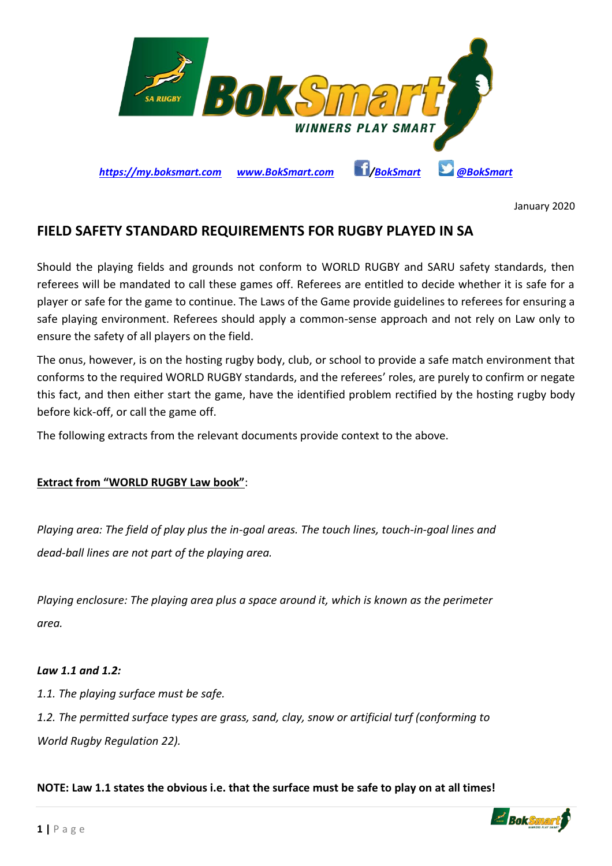

January 2020

# **FIELD SAFETY STANDARD REQUIREMENTS FOR RUGBY PLAYED IN SA**

Should the playing fields and grounds not conform to WORLD RUGBY and SARU safety standards, then referees will be mandated to call these games off. Referees are entitled to decide whether it is safe for a player or safe for the game to continue. The Laws of the Game provide guidelines to referees for ensuring a safe playing environment. Referees should apply a common-sense approach and not rely on Law only to ensure the safety of all players on the field.

The onus, however, is on the hosting rugby body, club, or school to provide a safe match environment that conforms to the required WORLD RUGBY standards, and the referees' roles, are purely to confirm or negate this fact, and then either start the game, have the identified problem rectified by the hosting rugby body before kick-off, or call the game off.

The following extracts from the relevant documents provide context to the above.

# **Extract from "WORLD RUGBY Law book"**:

*Playing area: The field of play plus the in-goal areas. The touch lines, touch-in-goal lines and dead-ball lines are not part of the playing area.*

*Playing enclosure: The playing area plus a space around it, which is known as the perimeter area.*

## *Law 1.1 and 1.2:*

*1.1. The playing surface must be safe.*

*1.2. The permitted surface types are grass, sand, clay, snow or artificial turf (conforming to World Rugby Regulation 22).*

**NOTE: Law 1.1 states the obvious i.e. that the surface must be safe to play on at all times!**

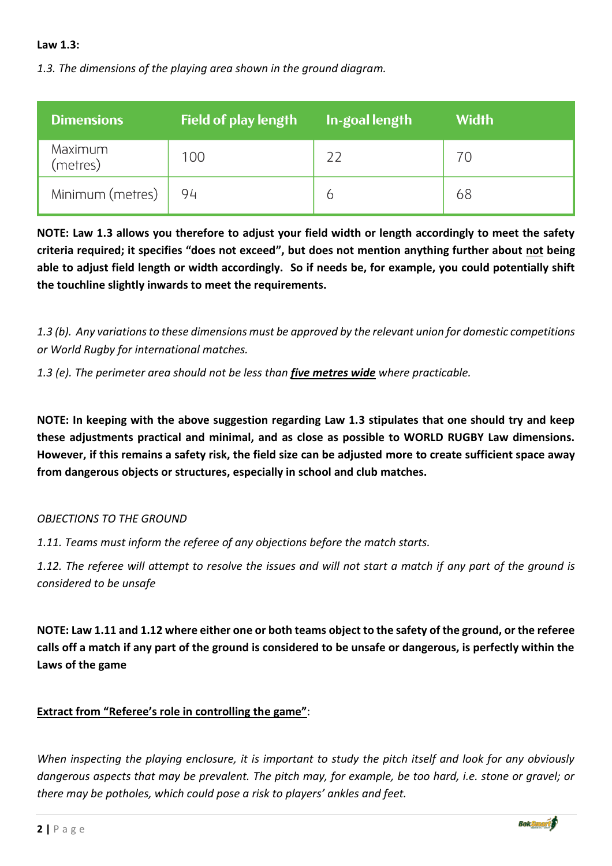## **Law 1.3:**

*1.3. The dimensions of the playing area shown in the ground diagram.*

| <b>Dimensions</b>   | <b>Field of play length</b> | <b>In-goal length</b> | <b>Width</b> |
|---------------------|-----------------------------|-----------------------|--------------|
| Maximum<br>(metres) | 100                         |                       | 70           |
| Minimum (metres)    | 94                          | O                     | 68           |

**NOTE: Law 1.3 allows you therefore to adjust your field width or length accordingly to meet the safety criteria required; it specifies "does not exceed", but does not mention anything further about not being able to adjust field length or width accordingly. So if needs be, for example, you could potentially shift the touchline slightly inwards to meet the requirements.**

*1.3 (b). Any variations to these dimensions must be approved by the relevant union for domestic competitions or World Rugby for international matches.*

*1.3 (e). The perimeter area should not be less than five metres wide where practicable.*

**NOTE: In keeping with the above suggestion regarding Law 1.3 stipulates that one should try and keep these adjustments practical and minimal, and as close as possible to WORLD RUGBY Law dimensions. However, if this remains a safety risk, the field size can be adjusted more to create sufficient space away from dangerous objects or structures, especially in school and club matches.**

## *OBJECTIONS TO THE GROUND*

*1.11. Teams must inform the referee of any objections before the match starts.*

*1.12. The referee will attempt to resolve the issues and will not start a match if any part of the ground is considered to be unsafe*

**NOTE: Law 1.11 and 1.12 where either one or both teams object to the safety of the ground, or the referee calls off a match if any part of the ground is considered to be unsafe or dangerous, is perfectly within the Laws of the game**

# **Extract from "Referee's role in controlling the game"**:

*When inspecting the playing enclosure, it is important to study the pitch itself and look for any obviously dangerous aspects that may be prevalent. The pitch may, for example, be too hard, i.e. stone or gravel; or there may be potholes, which could pose a risk to players' ankles and feet.*